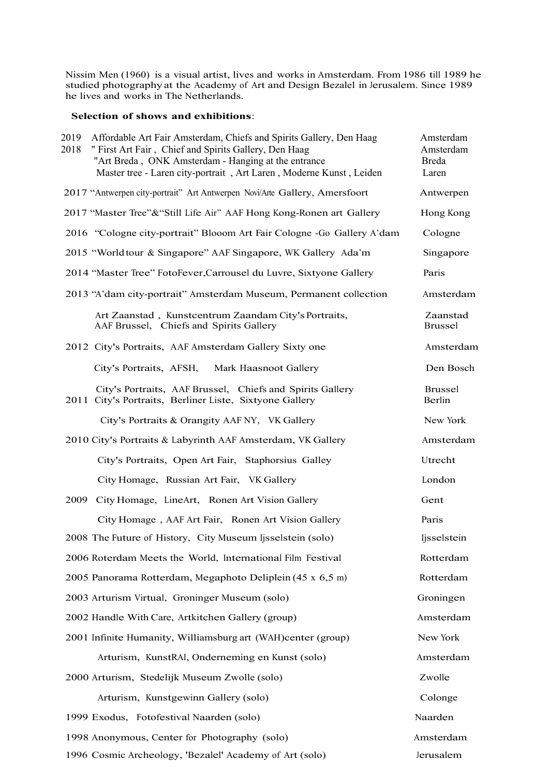Nissim Men (1960) is a visual artist, lives and works in Amsterdam. From 1986 till 1989 he studied photography at the Academy of Art and Design Bezalel in Jerusalem. Since 1989 he lives and works in The Netherlands.

## **Selection of shows and exhibitions**:

| 2019<br>Affordable Art Fair Amsterdam, Chiefs and Spirits Gallery, Den Haag<br>" First Art Fair, Chief and Spirits Gallery, Den Haag<br>2018<br>"Art Breda, ONK Amsterdam - Hanging at the entrance<br>Master tree - Laren city-portrait, Art Laren, Moderne Kunst, Leiden | Amsterdam<br>Amsterdam<br><b>Breda</b><br>Laren |
|----------------------------------------------------------------------------------------------------------------------------------------------------------------------------------------------------------------------------------------------------------------------------|-------------------------------------------------|
| 2017 "Antwerpen city-portrait" Art Antwerpen Novi/Arte Gallery, Amersfoort                                                                                                                                                                                                 | Antwerpen                                       |
| 2017 "Master Tree"& "Still Life Air" AAF Hong Kong-Ronen art Gallery                                                                                                                                                                                                       | Hong Kong                                       |
| 2016 "Cologne city-portrait" Blooom Art Fair Cologne -Go Gallery A'dam                                                                                                                                                                                                     | Cologne                                         |
| 2015 "Worldtour & Singapore" AAF Singapore, WK Gallery Ada'm                                                                                                                                                                                                               | Singapore                                       |
| 2014 "Master Tree" FotoFever, Carrousel du Luvre, Sixtyone Gallery                                                                                                                                                                                                         | Paris                                           |
| 2013 "A'dam city-portrait" Amsterdam Museum, Permanent collection                                                                                                                                                                                                          | Amsterdam                                       |
| Art Zaanstad, Kunstcentrum Zaandam City's Portraits,<br>AAF Brussel, Chiefs and Spirits Gallery                                                                                                                                                                            | Zaanstad<br><b>Brussel</b>                      |
| 2012 City's Portraits, AAF Amsterdam Gallery Sixty one                                                                                                                                                                                                                     | Amsterdam                                       |
| City's Portraits, AFSH,<br>Mark Haasnoot Gallery                                                                                                                                                                                                                           | Den Bosch                                       |
| City's Portraits, AAF Brussel, Chiefs and Spirits Gallery<br>2011 City's Portraits, Berliner Liste, Sixtyone Gallery                                                                                                                                                       | <b>Brussel</b><br>Berlin                        |
| City's Portraits & Orangity AAF NY, VK Gallery                                                                                                                                                                                                                             | New York                                        |
| 2010 City's Portraits & Labyrinth AAF Amsterdam, VK Gallery                                                                                                                                                                                                                | Amsterdam                                       |
| City's Portraits, Open Art Fair, Staphorsius Galley                                                                                                                                                                                                                        | Utrecht                                         |
| City Homage, Russian Art Fair, VK Gallery                                                                                                                                                                                                                                  | London                                          |
| 2009<br>City Homage, LineArt, Ronen Art Vision Gallery                                                                                                                                                                                                                     | Gent                                            |
| City Homage, AAF Art Fair, Ronen Art Vision Gallery                                                                                                                                                                                                                        | Paris                                           |
| 2008 The Future of History, City Museum Ijsselstein (solo)                                                                                                                                                                                                                 | ljsselstein                                     |
| 2006 Roterdam Meets the World, International Film Festival                                                                                                                                                                                                                 | Rotterdam                                       |
| 2005 Panorama Rotterdam, Megaphoto Deliplein (45 x 6,5 m)                                                                                                                                                                                                                  | Rotterdam                                       |
| 2003 Arturism Virtual, Groninger Museum (solo)                                                                                                                                                                                                                             | Groningen                                       |
| 2002 Handle With Care, Artkitchen Gallery (group)                                                                                                                                                                                                                          | Amsterdam                                       |
| 2001 Infinite Humanity, Williamsburg art (WAH)center (group)                                                                                                                                                                                                               | New York                                        |
| Arturism, KunstRAI, Onderneming en Kunst (solo)                                                                                                                                                                                                                            | Amsterdam                                       |
| 2000 Arturism, Stedelijk Museum Zwolle (solo)                                                                                                                                                                                                                              | Zwolle                                          |
| Arturism, Kunstgewinn Gallery (solo)                                                                                                                                                                                                                                       | Colonge                                         |
| 1999 Exodus, Fotofestival Naarden (solo)                                                                                                                                                                                                                                   | Naarden                                         |
| 1998 Anonymous, Center for Photography (solo)                                                                                                                                                                                                                              | Amsterdam                                       |
| 1996 Cosmic Archeology, 'Bezalel' Academy of Art (solo)                                                                                                                                                                                                                    | Jerusalem                                       |